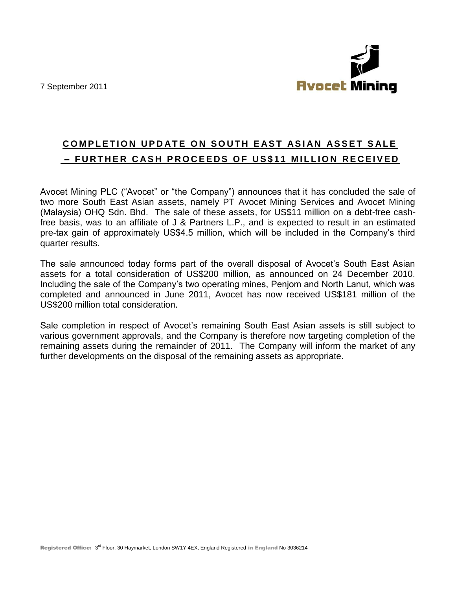7 September 2011



## **COMPLETION UPDATE ON SOUTH EAST ASIAN ASSET SALE - FURTHER CASH PROCEEDS OF US\$11 MILLION RECEIVED**

Avocet Mining PLC ("Avocet" or "the Company") announces that it has concluded the sale of two more South East Asian assets, namely PT Avocet Mining Services and Avocet Mining (Malaysia) OHQ Sdn. Bhd. The sale of these assets, for US\$11 million on a debt-free cashfree basis, was to an affiliate of J & Partners L.P., and is expected to result in an estimated pre-tax gain of approximately US\$4.5 million, which will be included in the Company's third quarter results.

The sale announced today forms part of the overall disposal of Avocet's South East Asian assets for a total consideration of US\$200 million, as announced on 24 December 2010. Including the sale of the Company's two operating mines, Penjom and North Lanut, which was completed and announced in June 2011, Avocet has now received US\$181 million of the US\$200 million total consideration.

Sale completion in respect of Avocet's remaining South East Asian assets is still subject to various government approvals, and the Company is therefore now targeting completion of the remaining assets during the remainder of 2011. The Company will inform the market of any further developments on the disposal of the remaining assets as appropriate.